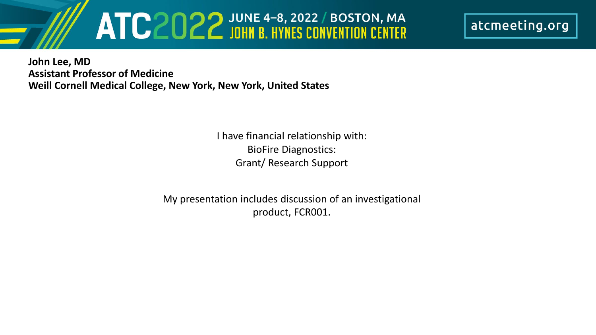# ATC2022 JOHN B. HYNES CONVENTION CENTER

atcmeeting.org

**John Lee, MD Assistant Professor of Medicine Weill Cornell Medical College, New York, New York, United States**

> I have financial relationship with: BioFire Diagnostics: Grant/ Research Support

My presentation includes discussion of an investigational product, FCR001.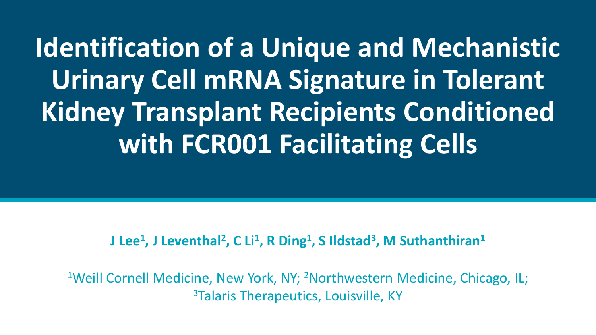**Identification of a Unique and Mechanistic Urinary Cell mRNA Signature in Tolerant Kidney Transplant Recipients Conditioned with FCR001 Facilitating Cells**

#### **J Lee<sup>1</sup>, J Leventhal<sup>2</sup>, C Li<sup>1</sup>, R Ding<sup>1</sup>, S Ildstad<sup>3</sup>, M Suthanthiran<sup>1</sup>**

<sup>1</sup>Weill Cornell Medicine, New York, NY; <sup>2</sup>Northwestern Medicine, Chicago, IL; <sup>3</sup>Talaris Therapeutics, Louisville, KY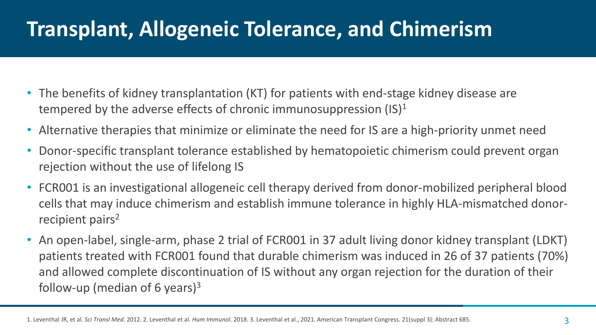# **Transplant, Allogeneic Tolerance, and Chimerism**

- The benefits of kidney transplantation (KT) for patients with end-stage kidney disease are tempered by the adverse effects of chronic immunosuppression  $(15)^1$
- Alternative therapies that minimize or eliminate the need for IS are a high-priority unmet need
- Donor-specific transplant tolerance established by hematopoietic chimerism could prevent organ rejection without the use of lifelong IS
- FCR001 is an investigational allogeneic cell therapy derived from donor-mobilized peripheral blood cells that may induce chimerism and establish immune tolerance in highly HLA-mismatched donorrecipient pairs<sup>2</sup>
- An open-label, single-arm, phase 2 trial of FCR001 in 37 adult living donor kidney transplant (LDKT) patients treated with FCR001 found that durable chimerism was induced in 26 of 37 patients (70%) and allowed complete discontinuation of IS without any organ rejection for the duration of their follow-up (median of 6 years)<sup>3</sup>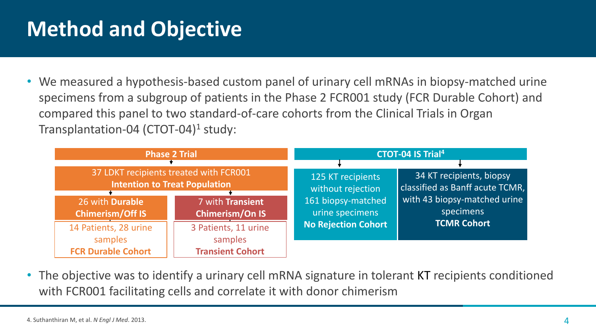# **Method and Objective**

• We measured a hypothesis-based custom panel of urinary cell mRNAs in biopsy-matched urine specimens from a subgroup of patients in the Phase 2 FCR001 study (FCR Durable Cohort) and compared this panel to two standard-of-care cohorts from the Clinical Trials in Organ Transplantation-04 (CTOT-04)<sup>1</sup> study:

| <b>Phase 2 Trial</b>                                                                                                         |                                                            | <b>CTOT-04 IS Trial<sup>4</sup></b>                                                                           |                                                                                                                                |
|------------------------------------------------------------------------------------------------------------------------------|------------------------------------------------------------|---------------------------------------------------------------------------------------------------------------|--------------------------------------------------------------------------------------------------------------------------------|
| 37 LDKT recipients treated with FCR001<br><b>Intention to Treat Population</b><br>26 with Durable<br><b>Chimerism/Off IS</b> | 7 with Transient<br><b>Chimerism/On IS</b>                 | 125 KT recipients<br>without rejection<br>161 biopsy-matched<br>urine specimens<br><b>No Rejection Cohort</b> | 34 KT recipients, biopsy<br>classified as Banff acute TCMR,<br>with 43 biopsy-matched urine<br>specimens<br><b>TCMR Cohort</b> |
| 14 Patients, 28 urine<br>samples<br><b>FCR Durable Cohort</b>                                                                | 3 Patients, 11 urine<br>samples<br><b>Transient Cohort</b> |                                                                                                               |                                                                                                                                |

• The objective was to identify a urinary cell mRNA signature in tolerant KT recipients conditioned with FCR001 facilitating cells and correlate it with donor chimerism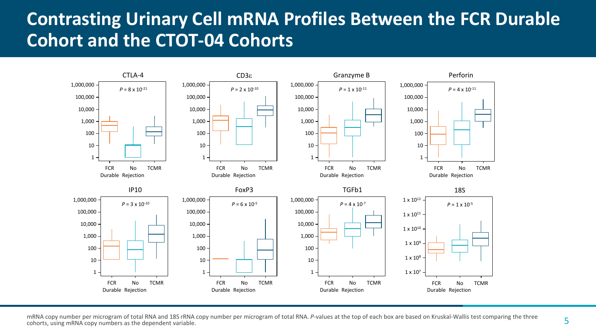#### **Contrasting Urinary Cell mRNA Profiles Between the FCR Durable Cohort and the CTOT-04 Cohorts**



mRNA copy number per microgram of total RNA and 18S rRNA copy number per microgram of total RNA. *P*-values at the top of each box are based on Kruskal-Wallis test comparing the three cohorts, using mRNA copy numbers as the dependent variable.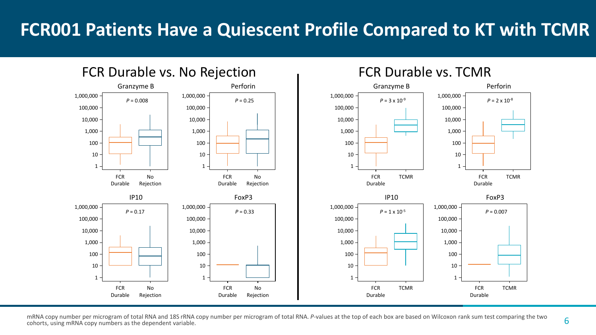#### **FCR001 Patients Have a Quiescent Profile Compared to KT with TCMR**



mRNA copy number per microgram of total RNA and 18S rRNA copy number per microgram of total RNA. *P*-values at the top of each box are based on Wilcoxon rank sum test comparing the two<br>Coborts using mRNA copy numbers as th cohorts, using mRNA copy numbers as the dependent variable.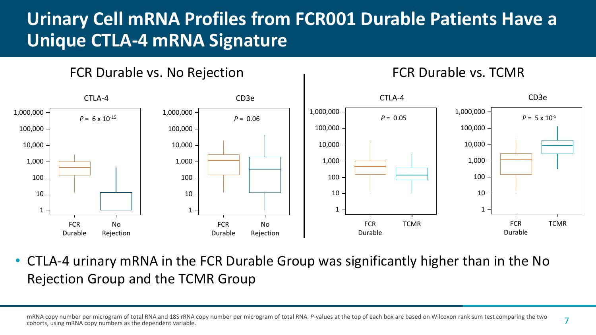### **Urinary Cell mRNA Profiles from FCR001 Durable Patients Have a Unique CTLA-4 mRNA Signature**



FCR Durable vs. No Rejection The CR Durable vs. TCMR

• CTLA-4 urinary mRNA in the FCR Durable Group was significantly higher than in the No Rejection Group and the TCMR Group

mRNA copy number per microgram of total RNA and 18S rRNA copy number per microgram of total RNA. *P*-values at the top of each box are based on Wilcoxon rank sum test comparing the two cohorts, using mRNA copy numbers as the dependent variable.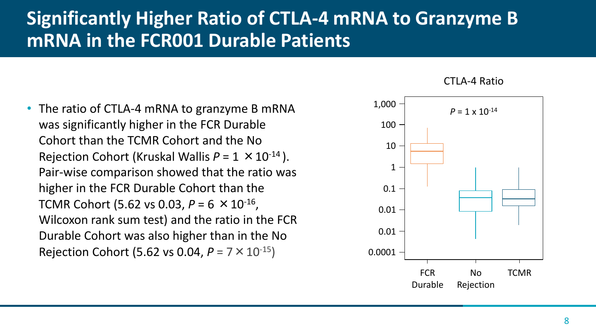#### **Significantly Higher Ratio of CTLA-4 mRNA to Granzyme B mRNA in the FCR001 Durable Patients**

• The ratio of CTLA-4 mRNA to granzyme B mRNA was significantly higher in the FCR Durable Cohort than the TCMR Cohort and the No Rejection Cohort (Kruskal Wallis  $P = 1 \times 10^{-14}$ ). Pair-wise comparison showed that the ratio was higher in the FCR Durable Cohort than the TCMR Cohort (5.62 vs 0.03, *P* = 6 ×10-16, Wilcoxon rank sum test) and the ratio in the FCR Durable Cohort was also higher than in the No Rejection Cohort (5.62 vs 0.04, *P* = 7×10-15)



CTLA-4 Ratio